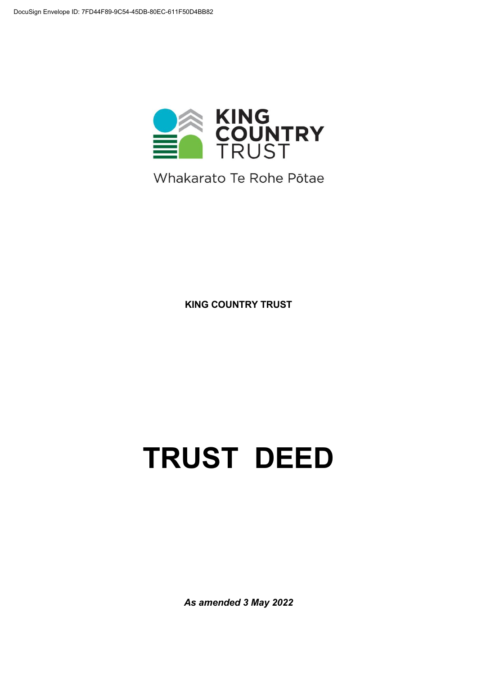

Whakarato Te Rohe Pōtae

**KING COUNTRY TRUST** 

# **TRUST DEED**

*As amended 3 May 2022*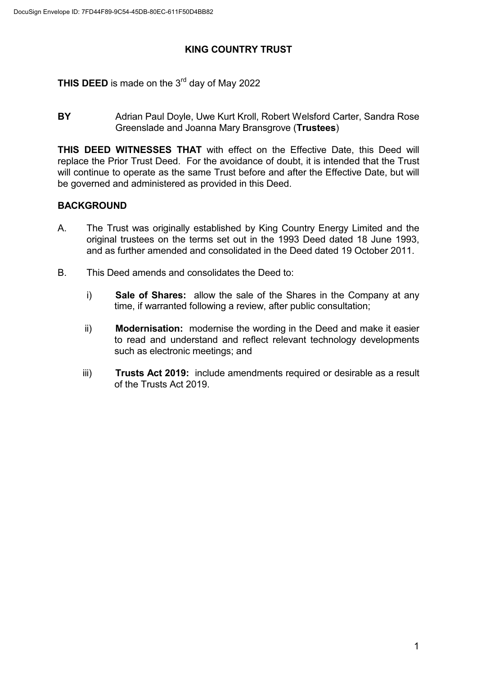#### **KING COUNTRY TRUST**

**THIS DEED** is made on the 3<sup>rd</sup> day of May 2022

**BY** Adrian Paul Doyle, Uwe Kurt Kroll, Robert Welsford Carter, Sandra Rose Greenslade and Joanna Mary Bransgrove (**Trustees**)

**THIS DEED WITNESSES THAT** with effect on the Effective Date, this Deed will replace the Prior Trust Deed. For the avoidance of doubt, it is intended that the Trust will continue to operate as the same Trust before and after the Effective Date, but will be governed and administered as provided in this Deed.

# **BACKGROUND**

- A. The Trust was originally established by King Country Energy Limited and the original trustees on the terms set out in the 1993 Deed dated 18 June 1993, and as further amended and consolidated in the Deed dated 19 October 2011.
- B. This Deed amends and consolidates the Deed to:
	- i) **Sale of Shares:** allow the sale of the Shares in the Company at any time, if warranted following a review, after public consultation;
	- ii) **Modernisation:** modernise the wording in the Deed and make it easier to read and understand and reflect relevant technology developments such as electronic meetings; and
	- iii) **Trusts Act 2019:** include amendments required or desirable as a result of the Trusts Act 2019.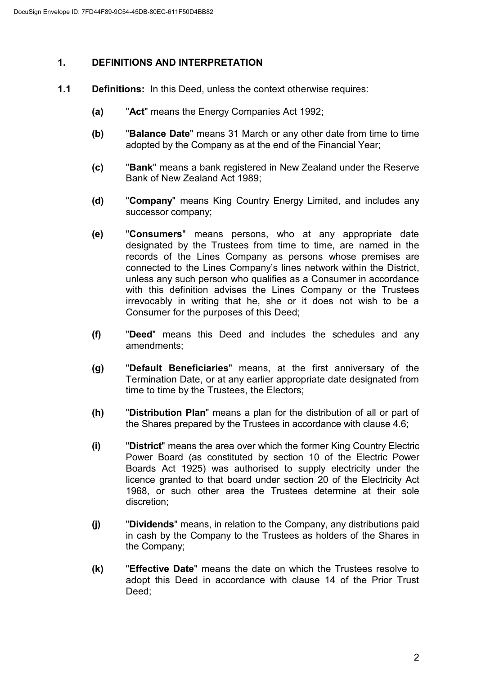#### **1. DEFINITIONS AND INTERPRETATION**

- **1.1 Definitions:** In this Deed, unless the context otherwise requires:
	- **(a)** "**Act**" means the Energy Companies Act 1992;
	- **(b)** "**Balance Date**" means 31 March or any other date from time to time adopted by the Company as at the end of the Financial Year;
	- **(c)** "**Bank**" means a bank registered in New Zealand under the Reserve Bank of New Zealand Act 1989;
	- **(d)** "**Company**" means King Country Energy Limited, and includes any successor company;
	- **(e)** "**Consumers**" means persons, who at any appropriate date designated by the Trustees from time to time, are named in the records of the Lines Company as persons whose premises are connected to the Lines Company's lines network within the District, unless any such person who qualifies as a Consumer in accordance with this definition advises the Lines Company or the Trustees irrevocably in writing that he, she or it does not wish to be a Consumer for the purposes of this Deed;
	- **(f)** "**Deed**" means this Deed and includes the schedules and any amendments;
	- **(g)** "**Default Beneficiaries**" means, at the first anniversary of the Termination Date, or at any earlier appropriate date designated from time to time by the Trustees, the Electors;
	- **(h)** "**Distribution Plan**" means a plan for the distribution of all or part of the Shares prepared by the Trustees in accordance with clause 4.6;
	- **(i)** "**District**" means the area over which the former King Country Electric Power Board (as constituted by section 10 of the Electric Power Boards Act 1925) was authorised to supply electricity under the licence granted to that board under section 20 of the Electricity Act 1968, or such other area the Trustees determine at their sole discretion;
	- **(j)** "**Dividends**" means, in relation to the Company, any distributions paid in cash by the Company to the Trustees as holders of the Shares in the Company;
	- **(k)** "**Effective Date**" means the date on which the Trustees resolve to adopt this Deed in accordance with clause 14 of the Prior Trust Deed;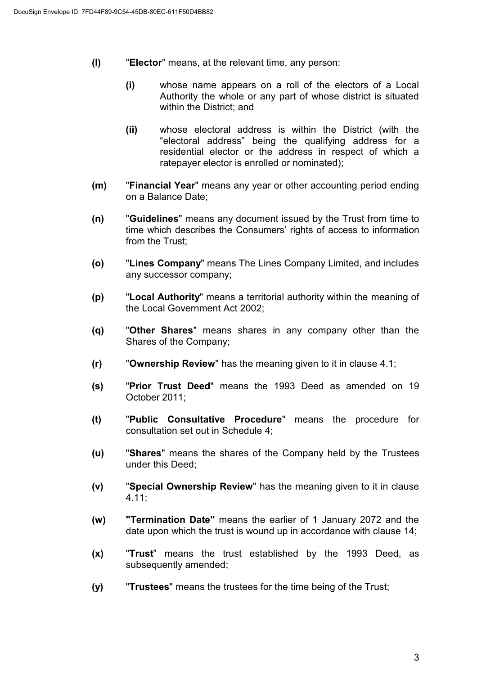- **(l)** "**Elector**" means, at the relevant time, any person:
	- **(i)** whose name appears on a roll of the electors of a Local Authority the whole or any part of whose district is situated within the District; and
	- **(ii)** whose electoral address is within the District (with the "electoral address" being the qualifying address for a residential elector or the address in respect of which a ratepayer elector is enrolled or nominated);
- **(m)** "**Financial Year**" means any year or other accounting period ending on a Balance Date;
- **(n)** "**Guidelines**" means any document issued by the Trust from time to time which describes the Consumers' rights of access to information from the Trust;
- **(o)** "**Lines Company**" means The Lines Company Limited, and includes any successor company;
- **(p)** "**Local Authority**" means a territorial authority within the meaning of the Local Government Act 2002;
- **(q)** "**Other Shares**" means shares in any company other than the Shares of the Company;
- **(r)** "**Ownership Review**" has the meaning given to it in clause 4.1;
- **(s)** "**Prior Trust Deed**" means the 1993 Deed as amended on 19 October 2011;
- **(t)** "**Public Consultative Procedure**" means the procedure for consultation set out in Schedule 4;
- **(u)** "**Shares**" means the shares of the Company held by the Trustees under this Deed;
- **(v)** "**Special Ownership Review**" has the meaning given to it in clause 4.11;
- **(w) "Termination Date"** means the earlier of 1 January 2072 and the date upon which the trust is wound up in accordance with clause 14;
- **(x)** "**Trust**" means the trust established by the 1993 Deed, as subsequently amended;
- **(y)** "**Trustees**" means the trustees for the time being of the Trust;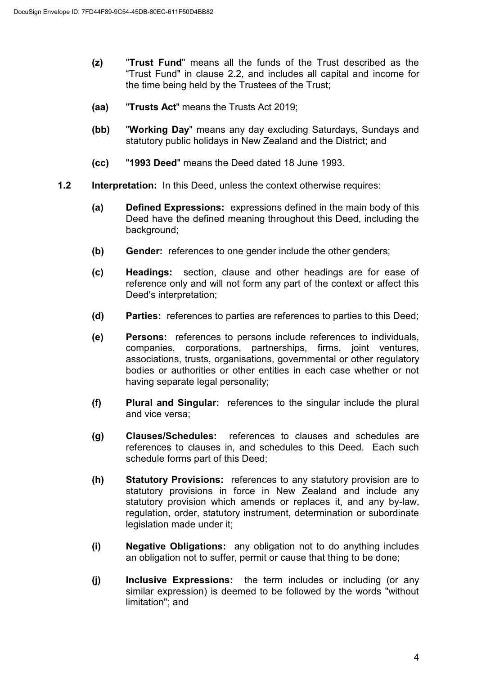- **(z)** "**Trust Fund**" means all the funds of the Trust described as the "Trust Fund" in clause 2.2, and includes all capital and income for the time being held by the Trustees of the Trust;
- **(aa)** "**Trusts Act**" means the Trusts Act 2019;
- **(bb)** "**Working Day**" means any day excluding Saturdays, Sundays and statutory public holidays in New Zealand and the District; and
- **(cc)** "**1993 Deed**" means the Deed dated 18 June 1993.
- **1.2 Interpretation:** In this Deed, unless the context otherwise requires:
	- **(a) Defined Expressions:** expressions defined in the main body of this Deed have the defined meaning throughout this Deed, including the background;
	- **(b) Gender:** references to one gender include the other genders;
	- **(c) Headings:** section, clause and other headings are for ease of reference only and will not form any part of the context or affect this Deed's interpretation;
	- **(d) Parties:** references to parties are references to parties to this Deed;
	- **(e) Persons:** references to persons include references to individuals, companies, corporations, partnerships, firms, joint ventures, associations, trusts, organisations, governmental or other regulatory bodies or authorities or other entities in each case whether or not having separate legal personality;
	- **(f) Plural and Singular:** references to the singular include the plural and vice versa;
	- **(g) Clauses/Schedules:** references to clauses and schedules are references to clauses in, and schedules to this Deed. Each such schedule forms part of this Deed;
	- **(h) Statutory Provisions:** references to any statutory provision are to statutory provisions in force in New Zealand and include any statutory provision which amends or replaces it, and any by-law, regulation, order, statutory instrument, determination or subordinate legislation made under it;
	- **(i) Negative Obligations:** any obligation not to do anything includes an obligation not to suffer, permit or cause that thing to be done;
	- **(j) Inclusive Expressions:** the term includes or including (or any similar expression) is deemed to be followed by the words "without limitation"; and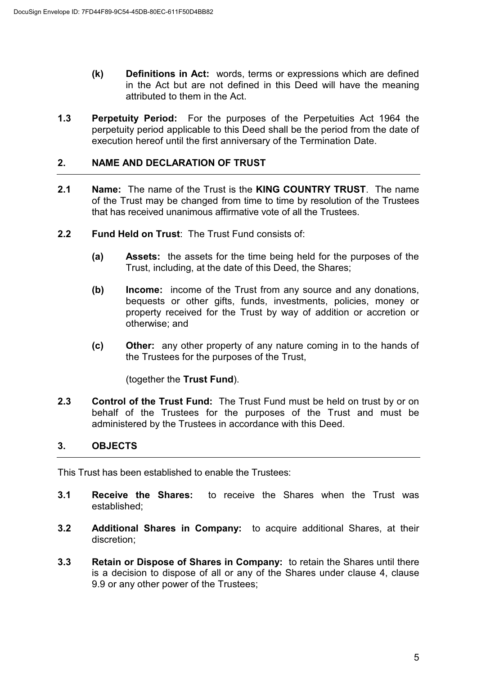- **(k) Definitions in Act:** words, terms or expressions which are defined in the Act but are not defined in this Deed will have the meaning attributed to them in the Act.
- **1.3 Perpetuity Period:** For the purposes of the Perpetuities Act 1964 the perpetuity period applicable to this Deed shall be the period from the date of execution hereof until the first anniversary of the Termination Date.

#### **2. NAME AND DECLARATION OF TRUST**

- **2.1 Name:** The name of the Trust is the **KING COUNTRY TRUST**. The name of the Trust may be changed from time to time by resolution of the Trustees that has received unanimous affirmative vote of all the Trustees.
- **2.2 Fund Held on Trust**: The Trust Fund consists of:
	- **(a) Assets:** the assets for the time being held for the purposes of the Trust, including, at the date of this Deed, the Shares;
	- **(b) Income:** income of the Trust from any source and any donations, bequests or other gifts, funds, investments, policies, money or property received for the Trust by way of addition or accretion or otherwise; and
	- **(c) Other:** any other property of any nature coming in to the hands of the Trustees for the purposes of the Trust,

(together the **Trust Fund**).

**2.3 Control of the Trust Fund:** The Trust Fund must be held on trust by or on behalf of the Trustees for the purposes of the Trust and must be administered by the Trustees in accordance with this Deed.

#### **3. OBJECTS**

This Trust has been established to enable the Trustees:

- **3.1 Receive the Shares:** to receive the Shares when the Trust was established;
- **3.2 Additional Shares in Company:** to acquire additional Shares, at their discretion;
- **3.3 Retain or Dispose of Shares in Company:** to retain the Shares until there is a decision to dispose of all or any of the Shares under clause 4, clause 9.9 or any other power of the Trustees;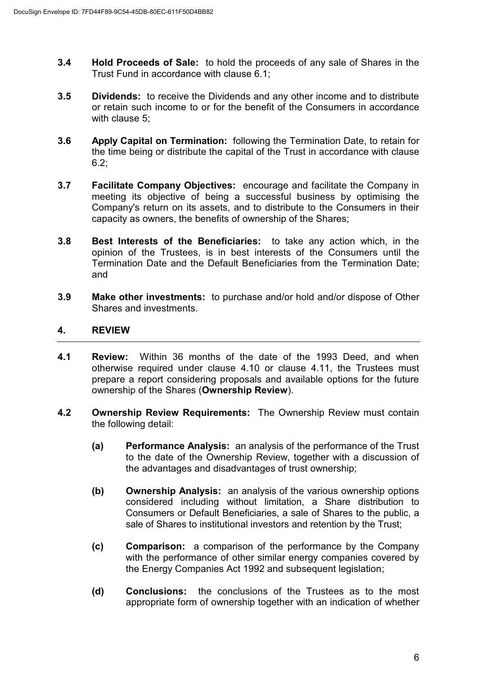- **3.4 Hold Proceeds of Sale:** to hold the proceeds of any sale of Shares in the Trust Fund in accordance with clause 6.1;
- **3.5 Dividends:** to receive the Dividends and any other income and to distribute or retain such income to or for the benefit of the Consumers in accordance with clause 5;
- **3.6 Apply Capital on Termination:** following the Termination Date, to retain for the time being or distribute the capital of the Trust in accordance with clause 6.2;
- **3.7 Facilitate Company Objectives:** encourage and facilitate the Company in meeting its objective of being a successful business by optimising the Company's return on its assets, and to distribute to the Consumers in their capacity as owners, the benefits of ownership of the Shares;
- **3.8 Best Interests of the Beneficiaries:** to take any action which, in the opinion of the Trustees, is in best interests of the Consumers until the Termination Date and the Default Beneficiaries from the Termination Date; and
- **3.9 Make other investments:** to purchase and/or hold and/or dispose of Other Shares and investments.

# **4. REVIEW**

- **4.1 Review:** Within 36 months of the date of the 1993 Deed, and when otherwise required under clause 4.10 or clause 4.11, the Trustees must prepare a report considering proposals and available options for the future ownership of the Shares (**Ownership Review**).
- **4.2 Ownership Review Requirements:** The Ownership Review must contain the following detail:
	- **(a) Performance Analysis:** an analysis of the performance of the Trust to the date of the Ownership Review, together with a discussion of the advantages and disadvantages of trust ownership;
	- **(b) Ownership Analysis:** an analysis of the various ownership options considered including without limitation, a Share distribution to Consumers or Default Beneficiaries, a sale of Shares to the public, a sale of Shares to institutional investors and retention by the Trust;
	- **(c) Comparison:** a comparison of the performance by the Company with the performance of other similar energy companies covered by the Energy Companies Act 1992 and subsequent legislation;
	- **(d) Conclusions:** the conclusions of the Trustees as to the most appropriate form of ownership together with an indication of whether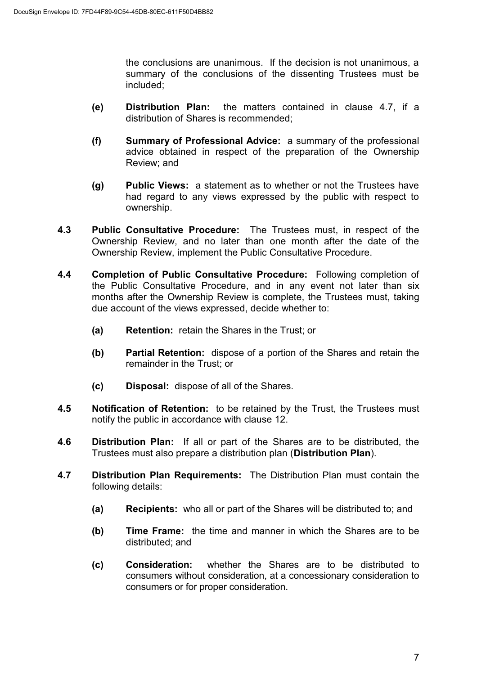the conclusions are unanimous. If the decision is not unanimous, a summary of the conclusions of the dissenting Trustees must be included;

- **(e) Distribution Plan:** the matters contained in clause 4.7, if a distribution of Shares is recommended;
- **(f) Summary of Professional Advice:** a summary of the professional advice obtained in respect of the preparation of the Ownership Review; and
- **(g) Public Views:** a statement as to whether or not the Trustees have had regard to any views expressed by the public with respect to ownership.
- **4.3 Public Consultative Procedure:** The Trustees must, in respect of the Ownership Review, and no later than one month after the date of the Ownership Review, implement the Public Consultative Procedure.
- **4.4 Completion of Public Consultative Procedure:** Following completion of the Public Consultative Procedure, and in any event not later than six months after the Ownership Review is complete, the Trustees must, taking due account of the views expressed, decide whether to:
	- **(a) Retention:** retain the Shares in the Trust; or
	- **(b) Partial Retention:** dispose of a portion of the Shares and retain the remainder in the Trust; or
	- **(c) Disposal:** dispose of all of the Shares.
- **4.5 Notification of Retention:** to be retained by the Trust, the Trustees must notify the public in accordance with clause 12.
- **4.6 Distribution Plan:** If all or part of the Shares are to be distributed, the Trustees must also prepare a distribution plan (**Distribution Plan**).
- **4.7 Distribution Plan Requirements:** The Distribution Plan must contain the following details:
	- **(a) Recipients:** who all or part of the Shares will be distributed to; and
	- **(b) Time Frame:** the time and manner in which the Shares are to be distributed; and
	- **(c) Consideration:** whether the Shares are to be distributed to consumers without consideration, at a concessionary consideration to consumers or for proper consideration.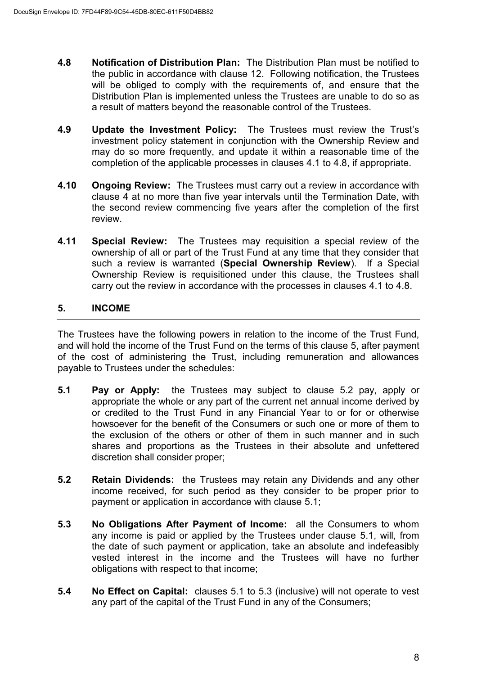- **4.8 Notification of Distribution Plan:** The Distribution Plan must be notified to the public in accordance with clause 12. Following notification, the Trustees will be obliged to comply with the requirements of, and ensure that the Distribution Plan is implemented unless the Trustees are unable to do so as a result of matters beyond the reasonable control of the Trustees.
- **4.9 Update the Investment Policy:** The Trustees must review the Trust's investment policy statement in conjunction with the Ownership Review and may do so more frequently, and update it within a reasonable time of the completion of the applicable processes in clauses 4.1 to 4.8, if appropriate.
- **4.10 Ongoing Review:** The Trustees must carry out a review in accordance with clause 4 at no more than five year intervals until the Termination Date, with the second review commencing five years after the completion of the first review.
- **4.11 Special Review:** The Trustees may requisition a special review of the ownership of all or part of the Trust Fund at any time that they consider that such a review is warranted (**Special Ownership Review**). If a Special Ownership Review is requisitioned under this clause, the Trustees shall carry out the review in accordance with the processes in clauses 4.1 to 4.8.

# **5. INCOME**

The Trustees have the following powers in relation to the income of the Trust Fund, and will hold the income of the Trust Fund on the terms of this clause 5, after payment of the cost of administering the Trust, including remuneration and allowances payable to Trustees under the schedules:

- **5.1 Pay or Apply:** the Trustees may subject to clause 5.2 pay, apply or appropriate the whole or any part of the current net annual income derived by or credited to the Trust Fund in any Financial Year to or for or otherwise howsoever for the benefit of the Consumers or such one or more of them to the exclusion of the others or other of them in such manner and in such shares and proportions as the Trustees in their absolute and unfettered discretion shall consider proper;
- **5.2 Retain Dividends:** the Trustees may retain any Dividends and any other income received, for such period as they consider to be proper prior to payment or application in accordance with clause 5.1;
- **5.3 No Obligations After Payment of Income:** all the Consumers to whom any income is paid or applied by the Trustees under clause 5.1, will, from the date of such payment or application, take an absolute and indefeasibly vested interest in the income and the Trustees will have no further obligations with respect to that income;
- **5.4 No Effect on Capital:** clauses 5.1 to 5.3 (inclusive) will not operate to vest any part of the capital of the Trust Fund in any of the Consumers;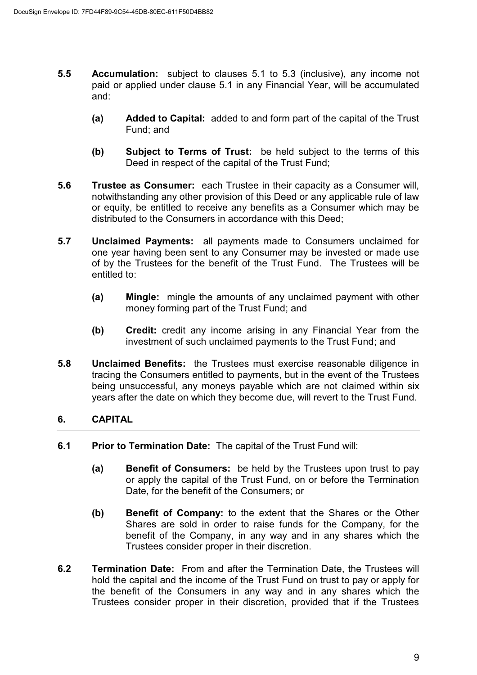- **5.5 Accumulation:** subject to clauses 5.1 to 5.3 (inclusive), any income not paid or applied under clause 5.1 in any Financial Year, will be accumulated and:
	- **(a) Added to Capital:** added to and form part of the capital of the Trust Fund; and
	- **(b) Subject to Terms of Trust:** be held subject to the terms of this Deed in respect of the capital of the Trust Fund;
- **5.6 Trustee as Consumer:** each Trustee in their capacity as a Consumer will, notwithstanding any other provision of this Deed or any applicable rule of law or equity, be entitled to receive any benefits as a Consumer which may be distributed to the Consumers in accordance with this Deed;
- **5.7 Unclaimed Payments:** all payments made to Consumers unclaimed for one year having been sent to any Consumer may be invested or made use of by the Trustees for the benefit of the Trust Fund. The Trustees will be entitled to:
	- **(a) Mingle:** mingle the amounts of any unclaimed payment with other money forming part of the Trust Fund; and
	- **(b) Credit:** credit any income arising in any Financial Year from the investment of such unclaimed payments to the Trust Fund; and
- **5.8 Unclaimed Benefits:** the Trustees must exercise reasonable diligence in tracing the Consumers entitled to payments, but in the event of the Trustees being unsuccessful, any moneys payable which are not claimed within six years after the date on which they become due, will revert to the Trust Fund.

# **6. CAPITAL**

- **6.1 Prior to Termination Date:** The capital of the Trust Fund will:
	- **(a) Benefit of Consumers:** be held by the Trustees upon trust to pay or apply the capital of the Trust Fund, on or before the Termination Date, for the benefit of the Consumers; or
	- **(b) Benefit of Company:** to the extent that the Shares or the Other Shares are sold in order to raise funds for the Company, for the benefit of the Company, in any way and in any shares which the Trustees consider proper in their discretion.
- **6.2 Termination Date:** From and after the Termination Date, the Trustees will hold the capital and the income of the Trust Fund on trust to pay or apply for the benefit of the Consumers in any way and in any shares which the Trustees consider proper in their discretion, provided that if the Trustees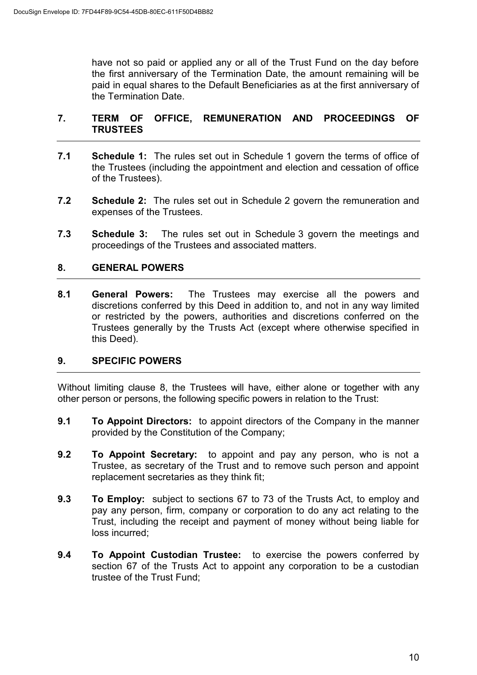have not so paid or applied any or all of the Trust Fund on the day before the first anniversary of the Termination Date, the amount remaining will be paid in equal shares to the Default Beneficiaries as at the first anniversary of the Termination Date.

# **7. TERM OF OFFICE, REMUNERATION AND PROCEEDINGS OF TRUSTEES**

- **7.1 Schedule 1:** The rules set out in Schedule 1 govern the terms of office of the Trustees (including the appointment and election and cessation of office of the Trustees).
- **7.2 Schedule 2:** The rules set out in Schedule 2 govern the remuneration and expenses of the Trustees.
- **7.3 Schedule 3:** The rules set out in Schedule 3 govern the meetings and proceedings of the Trustees and associated matters.

# **8. GENERAL POWERS**

**8.1 General Powers:** The Trustees may exercise all the powers and discretions conferred by this Deed in addition to, and not in any way limited or restricted by the powers, authorities and discretions conferred on the Trustees generally by the Trusts Act (except where otherwise specified in this Deed).

#### **9. SPECIFIC POWERS**

Without limiting clause 8, the Trustees will have, either alone or together with any other person or persons, the following specific powers in relation to the Trust:

- **9.1 To Appoint Directors:** to appoint directors of the Company in the manner provided by the Constitution of the Company;
- **9.2 To Appoint Secretary:** to appoint and pay any person, who is not a Trustee, as secretary of the Trust and to remove such person and appoint replacement secretaries as they think fit;
- **9.3 To Employ:** subject to sections 67 to 73 of the Trusts Act, to employ and pay any person, firm, company or corporation to do any act relating to the Trust, including the receipt and payment of money without being liable for loss incurred;
- **9.4 To Appoint Custodian Trustee:** to exercise the powers conferred by section 67 of the Trusts Act to appoint any corporation to be a custodian trustee of the Trust Fund;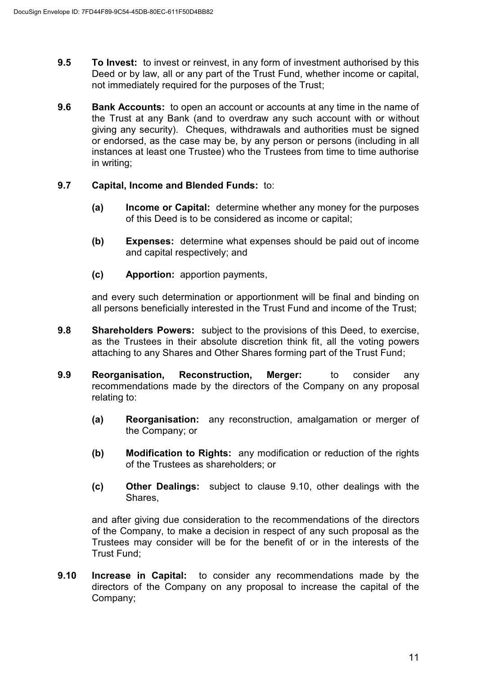- **9.5 To Invest:** to invest or reinvest, in any form of investment authorised by this Deed or by law, all or any part of the Trust Fund, whether income or capital, not immediately required for the purposes of the Trust;
- **9.6 Bank Accounts:** to open an account or accounts at any time in the name of the Trust at any Bank (and to overdraw any such account with or without giving any security). Cheques, withdrawals and authorities must be signed or endorsed, as the case may be, by any person or persons (including in all instances at least one Trustee) who the Trustees from time to time authorise in writing;

# **9.7 Capital, Income and Blended Funds:** to:

- **(a) Income or Capital:** determine whether any money for the purposes of this Deed is to be considered as income or capital;
- **(b) Expenses:** determine what expenses should be paid out of income and capital respectively; and
- **(c) Apportion:** apportion payments,

and every such determination or apportionment will be final and binding on all persons beneficially interested in the Trust Fund and income of the Trust;

- **9.8 Shareholders Powers:** subject to the provisions of this Deed, to exercise, as the Trustees in their absolute discretion think fit, all the voting powers attaching to any Shares and Other Shares forming part of the Trust Fund;
- **9.9 Reorganisation, Reconstruction, Merger:** to consider any recommendations made by the directors of the Company on any proposal relating to:
	- **(a) Reorganisation:** any reconstruction, amalgamation or merger of the Company; or
	- **(b) Modification to Rights:** any modification or reduction of the rights of the Trustees as shareholders; or
	- **(c) Other Dealings:** subject to clause 9.10, other dealings with the Shares,

and after giving due consideration to the recommendations of the directors of the Company, to make a decision in respect of any such proposal as the Trustees may consider will be for the benefit of or in the interests of the Trust Fund;

**9.10 Increase in Capital:** to consider any recommendations made by the directors of the Company on any proposal to increase the capital of the Company;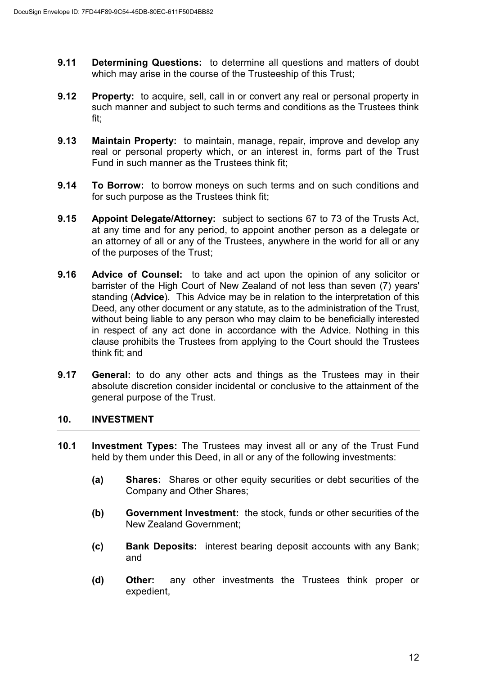- **9.11 Determining Questions:** to determine all questions and matters of doubt which may arise in the course of the Trusteeship of this Trust;
- **9.12** Property: to acquire, sell, call in or convert any real or personal property in such manner and subject to such terms and conditions as the Trustees think fit;
- **9.13 Maintain Property:** to maintain, manage, repair, improve and develop any real or personal property which, or an interest in, forms part of the Trust Fund in such manner as the Trustees think fit;
- **9.14 To Borrow:** to borrow moneys on such terms and on such conditions and for such purpose as the Trustees think fit;
- **9.15 Appoint Delegate/Attorney:** subject to sections 67 to 73 of the Trusts Act, at any time and for any period, to appoint another person as a delegate or an attorney of all or any of the Trustees, anywhere in the world for all or any of the purposes of the Trust;
- **9.16 Advice of Counsel:** to take and act upon the opinion of any solicitor or barrister of the High Court of New Zealand of not less than seven (7) years' standing (**Advice**). This Advice may be in relation to the interpretation of this Deed, any other document or any statute, as to the administration of the Trust, without being liable to any person who may claim to be beneficially interested in respect of any act done in accordance with the Advice. Nothing in this clause prohibits the Trustees from applying to the Court should the Trustees think fit; and
- **9.17 General:** to do any other acts and things as the Trustees may in their absolute discretion consider incidental or conclusive to the attainment of the general purpose of the Trust.

#### **10. INVESTMENT**

- **10.1 Investment Types:** The Trustees may invest all or any of the Trust Fund held by them under this Deed, in all or any of the following investments:
	- **(a) Shares:** Shares or other equity securities or debt securities of the Company and Other Shares;
	- **(b) Government Investment:** the stock, funds or other securities of the New Zealand Government;
	- **(c) Bank Deposits:** interest bearing deposit accounts with any Bank; and
	- **(d) Other:** any other investments the Trustees think proper or expedient,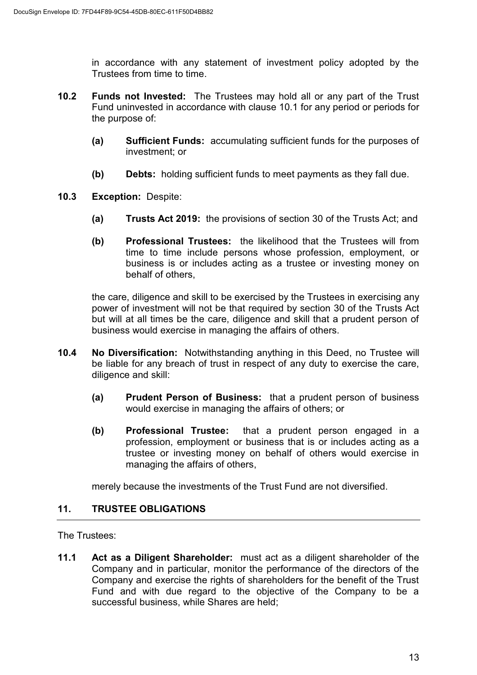in accordance with any statement of investment policy adopted by the Trustees from time to time.

- **10.2 Funds not Invested:** The Trustees may hold all or any part of the Trust Fund uninvested in accordance with clause 10.1 for any period or periods for the purpose of:
	- **(a) Sufficient Funds:** accumulating sufficient funds for the purposes of investment; or
	- **(b) Debts:** holding sufficient funds to meet payments as they fall due.
- **10.3 Exception:** Despite:
	- **(a) Trusts Act 2019:** the provisions of section 30 of the Trusts Act; and
	- **(b) Professional Trustees:** the likelihood that the Trustees will from time to time include persons whose profession, employment, or business is or includes acting as a trustee or investing money on behalf of others,

the care, diligence and skill to be exercised by the Trustees in exercising any power of investment will not be that required by section 30 of the Trusts Act but will at all times be the care, diligence and skill that a prudent person of business would exercise in managing the affairs of others.

- **10.4 No Diversification:** Notwithstanding anything in this Deed, no Trustee will be liable for any breach of trust in respect of any duty to exercise the care, diligence and skill:
	- **(a) Prudent Person of Business:** that a prudent person of business would exercise in managing the affairs of others; or
	- **(b) Professional Trustee:** that a prudent person engaged in a profession, employment or business that is or includes acting as a trustee or investing money on behalf of others would exercise in managing the affairs of others,

merely because the investments of the Trust Fund are not diversified.

#### **11. TRUSTEE OBLIGATIONS**

The Trustees:

**11.1 Act as a Diligent Shareholder:** must act as a diligent shareholder of the Company and in particular, monitor the performance of the directors of the Company and exercise the rights of shareholders for the benefit of the Trust Fund and with due regard to the objective of the Company to be a successful business, while Shares are held;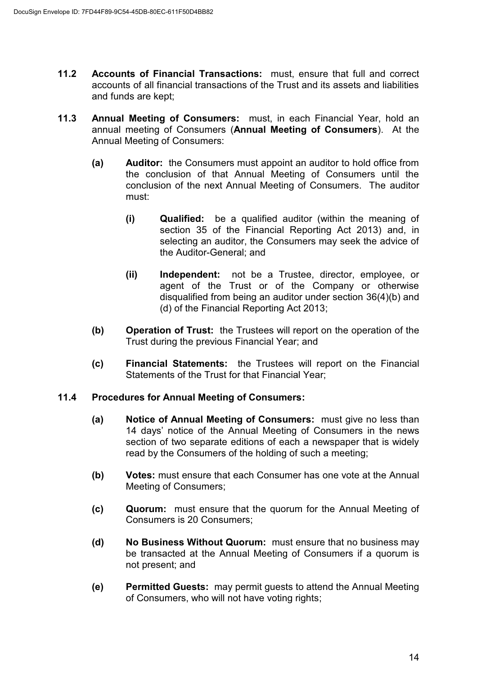- **11.2 Accounts of Financial Transactions:** must, ensure that full and correct accounts of all financial transactions of the Trust and its assets and liabilities and funds are kept;
- **11.3 Annual Meeting of Consumers:** must, in each Financial Year, hold an annual meeting of Consumers (**Annual Meeting of Consumers**). At the Annual Meeting of Consumers:
	- **(a) Auditor:** the Consumers must appoint an auditor to hold office from the conclusion of that Annual Meeting of Consumers until the conclusion of the next Annual Meeting of Consumers. The auditor must:
		- **(i) Qualified:** be a qualified auditor (within the meaning of section 35 of the Financial Reporting Act 2013) and, in selecting an auditor, the Consumers may seek the advice of the Auditor-General; and
		- **(ii) Independent:** not be a Trustee, director, employee, or agent of the Trust or of the Company or otherwise disqualified from being an auditor under section 36(4)(b) and (d) of the Financial Reporting Act 2013;
	- **(b) Operation of Trust:** the Trustees will report on the operation of the Trust during the previous Financial Year; and
	- **(c) Financial Statements:** the Trustees will report on the Financial Statements of the Trust for that Financial Year;

#### **11.4 Procedures for Annual Meeting of Consumers:**

- **(a) Notice of Annual Meeting of Consumers:** must give no less than 14 days' notice of the Annual Meeting of Consumers in the news section of two separate editions of each a newspaper that is widely read by the Consumers of the holding of such a meeting;
- **(b) Votes:** must ensure that each Consumer has one vote at the Annual Meeting of Consumers;
- **(c) Quorum:** must ensure that the quorum for the Annual Meeting of Consumers is 20 Consumers;
- **(d) No Business Without Quorum:** must ensure that no business may be transacted at the Annual Meeting of Consumers if a quorum is not present; and
- **(e) Permitted Guests:** may permit guests to attend the Annual Meeting of Consumers, who will not have voting rights;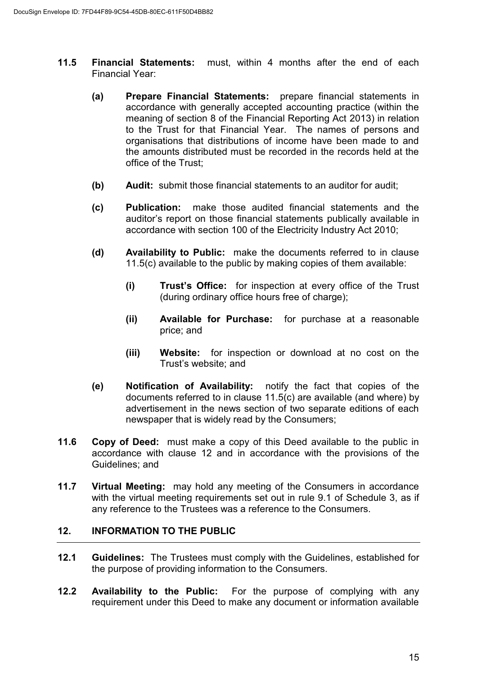- **11.5 Financial Statements:** must, within 4 months after the end of each Financial Year:
	- **(a) Prepare Financial Statements:** prepare financial statements in accordance with generally accepted accounting practice (within the meaning of section 8 of the Financial Reporting Act 2013) in relation to the Trust for that Financial Year. The names of persons and organisations that distributions of income have been made to and the amounts distributed must be recorded in the records held at the office of the Trust;
	- **(b)** Audit: submit those financial statements to an auditor for audit;
	- **(c) Publication:** make those audited financial statements and the auditor's report on those financial statements publically available in accordance with section 100 of the Electricity Industry Act 2010;
	- **(d) Availability to Public:** make the documents referred to in clause 11.5(c) available to the public by making copies of them available:
		- **(i) Trust's Office:** for inspection at every office of the Trust (during ordinary office hours free of charge);
		- **(ii) Available for Purchase:** for purchase at a reasonable price; and
		- **(iii) Website:** for inspection or download at no cost on the Trust's website; and
	- **(e) Notification of Availability:** notify the fact that copies of the documents referred to in clause 11.5(c) are available (and where) by advertisement in the news section of two separate editions of each newspaper that is widely read by the Consumers;
- **11.6 Copy of Deed:** must make a copy of this Deed available to the public in accordance with clause 12 and in accordance with the provisions of the Guidelines; and
- **11.7 Virtual Meeting:** may hold any meeting of the Consumers in accordance with the virtual meeting requirements set out in rule 9.1 of Schedule 3, as if any reference to the Trustees was a reference to the Consumers.

#### **12. INFORMATION TO THE PUBLIC**

- **12.1 Guidelines:** The Trustees must comply with the Guidelines, established for the purpose of providing information to the Consumers.
- **12.2 Availability to the Public:** For the purpose of complying with any requirement under this Deed to make any document or information available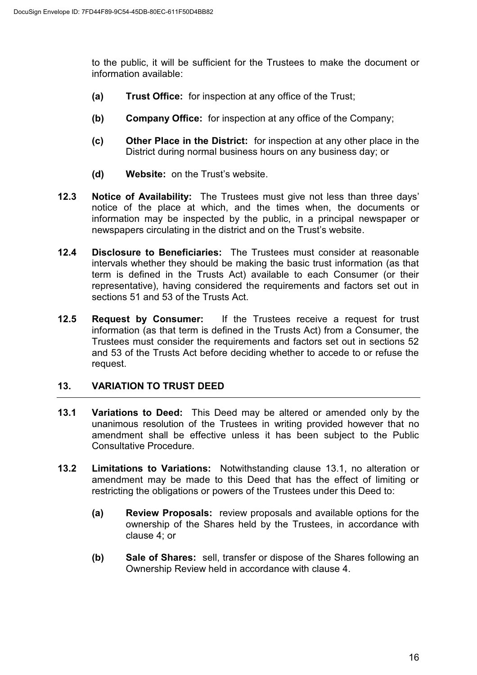to the public, it will be sufficient for the Trustees to make the document or information available:

- **(a) Trust Office:** for inspection at any office of the Trust;
- **(b) Company Office:** for inspection at any office of the Company;
- **(c) Other Place in the District:** for inspection at any other place in the District during normal business hours on any business day; or
- **(d) Website:** on the Trust's website.
- **12.3 Notice of Availability:** The Trustees must give not less than three days' notice of the place at which, and the times when, the documents or information may be inspected by the public, in a principal newspaper or newspapers circulating in the district and on the Trust's website.
- **12.4 Disclosure to Beneficiaries:** The Trustees must consider at reasonable intervals whether they should be making the basic trust information (as that term is defined in the Trusts Act) available to each Consumer (or their representative), having considered the requirements and factors set out in sections 51 and 53 of the Trusts Act.
- **12.5 Request by Consumer:** If the Trustees receive a request for trust information (as that term is defined in the Trusts Act) from a Consumer, the Trustees must consider the requirements and factors set out in sections 52 and 53 of the Trusts Act before deciding whether to accede to or refuse the request.

# **13. VARIATION TO TRUST DEED**

- **13.1 Variations to Deed:** This Deed may be altered or amended only by the unanimous resolution of the Trustees in writing provided however that no amendment shall be effective unless it has been subject to the Public Consultative Procedure.
- **13.2 Limitations to Variations:** Notwithstanding clause 13.1, no alteration or amendment may be made to this Deed that has the effect of limiting or restricting the obligations or powers of the Trustees under this Deed to:
	- **(a) Review Proposals:** review proposals and available options for the ownership of the Shares held by the Trustees, in accordance with clause 4; or
	- **(b) Sale of Shares:** sell, transfer or dispose of the Shares following an Ownership Review held in accordance with clause 4.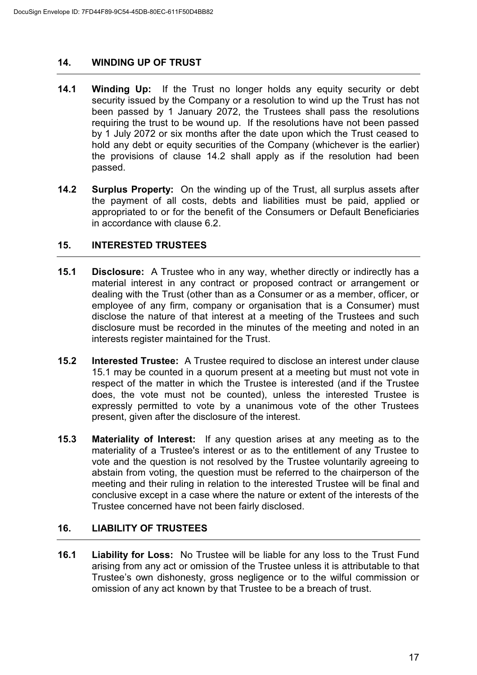#### **14. WINDING UP OF TRUST**

- **14.1 Winding Up:** If the Trust no longer holds any equity security or debt security issued by the Company or a resolution to wind up the Trust has not been passed by 1 January 2072, the Trustees shall pass the resolutions requiring the trust to be wound up. If the resolutions have not been passed by 1 July 2072 or six months after the date upon which the Trust ceased to hold any debt or equity securities of the Company (whichever is the earlier) the provisions of clause 14.2 shall apply as if the resolution had been passed.
- **14.2 Surplus Property:** On the winding up of the Trust, all surplus assets after the payment of all costs, debts and liabilities must be paid, applied or appropriated to or for the benefit of the Consumers or Default Beneficiaries in accordance with clause 6.2.

#### **15. INTERESTED TRUSTEES**

- **15.1 Disclosure:** A Trustee who in any way, whether directly or indirectly has a material interest in any contract or proposed contract or arrangement or dealing with the Trust (other than as a Consumer or as a member, officer, or employee of any firm, company or organisation that is a Consumer) must disclose the nature of that interest at a meeting of the Trustees and such disclosure must be recorded in the minutes of the meeting and noted in an interests register maintained for the Trust.
- **15.2 Interested Trustee:** A Trustee required to disclose an interest under clause 15.1 may be counted in a quorum present at a meeting but must not vote in respect of the matter in which the Trustee is interested (and if the Trustee does, the vote must not be counted), unless the interested Trustee is expressly permitted to vote by a unanimous vote of the other Trustees present, given after the disclosure of the interest.
- **15.3 Materiality of Interest:** If any question arises at any meeting as to the materiality of a Trustee's interest or as to the entitlement of any Trustee to vote and the question is not resolved by the Trustee voluntarily agreeing to abstain from voting, the question must be referred to the chairperson of the meeting and their ruling in relation to the interested Trustee will be final and conclusive except in a case where the nature or extent of the interests of the Trustee concerned have not been fairly disclosed.

#### **16. LIABILITY OF TRUSTEES**

**16.1 Liability for Loss:** No Trustee will be liable for any loss to the Trust Fund arising from any act or omission of the Trustee unless it is attributable to that Trustee's own dishonesty, gross negligence or to the wilful commission or omission of any act known by that Trustee to be a breach of trust.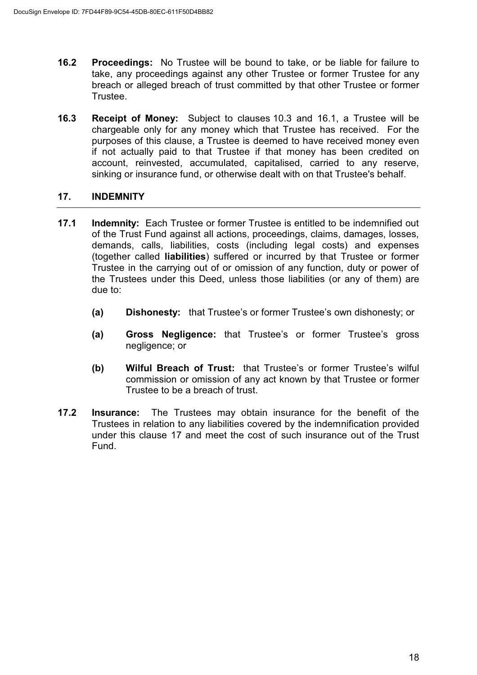- **16.2 Proceedings:** No Trustee will be bound to take, or be liable for failure to take, any proceedings against any other Trustee or former Trustee for any breach or alleged breach of trust committed by that other Trustee or former Trustee.
- **16.3 Receipt of Money:** Subject to clauses 10.3 and 16.1, a Trustee will be chargeable only for any money which that Trustee has received. For the purposes of this clause, a Trustee is deemed to have received money even if not actually paid to that Trustee if that money has been credited on account, reinvested, accumulated, capitalised, carried to any reserve, sinking or insurance fund, or otherwise dealt with on that Trustee's behalf.

# **17. INDEMNITY**

- **17.1 Indemnity:** Each Trustee or former Trustee is entitled to be indemnified out of the Trust Fund against all actions, proceedings, claims, damages, losses, demands, calls, liabilities, costs (including legal costs) and expenses (together called **liabilities**) suffered or incurred by that Trustee or former Trustee in the carrying out of or omission of any function, duty or power of the Trustees under this Deed, unless those liabilities (or any of them) are due to:
	- **(a) Dishonesty:** that Trustee's or former Trustee's own dishonesty; or
	- **(a) Gross Negligence:** that Trustee's or former Trustee's gross negligence; or
	- **(b) Wilful Breach of Trust:** that Trustee's or former Trustee's wilful commission or omission of any act known by that Trustee or former Trustee to be a breach of trust.
- **17.2 Insurance:** The Trustees may obtain insurance for the benefit of the Trustees in relation to any liabilities covered by the indemnification provided under this clause 17 and meet the cost of such insurance out of the Trust Fund.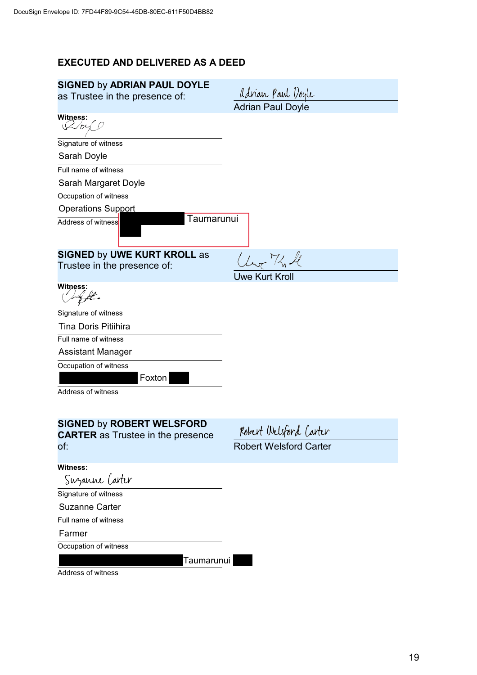# **EXECUTED AND DELIVERED AS A DEED**

| <b>SIGNED by ADRIAN PAUL DOYLE</b><br>as Trustee in the presence of:         | adrian Paul Doyle             |
|------------------------------------------------------------------------------|-------------------------------|
|                                                                              | <b>Adrian Paul Doyle</b>      |
| Witness:<br>$\chi$ by                                                        |                               |
| Signature of witness                                                         |                               |
| Sarah Doyle                                                                  |                               |
| Full name of witness                                                         |                               |
| Sarah Margaret Doyle                                                         |                               |
| Occupation of witness                                                        |                               |
| <b>Operations Support</b>                                                    |                               |
| Taumarunui<br>Address of witness                                             |                               |
| <b>SIGNED by UWE KURT KROLL as</b>                                           | Ur The le                     |
| Trustee in the presence of:                                                  |                               |
|                                                                              | <b>Uwe Kurt Kroll</b>         |
| Witness:                                                                     |                               |
| Signature of witness                                                         |                               |
| <b>Tina Doris Pitiihira</b>                                                  |                               |
| Full name of witness                                                         |                               |
| Assistant Manager                                                            |                               |
| Occupation of witness<br>Foxton                                              |                               |
| Address of witness                                                           |                               |
|                                                                              |                               |
| <b>SIGNED by ROBERT WELSFORD</b><br><b>CARTER</b> as Trustee in the presence | Robert Welsford Carter        |
| of:                                                                          | <b>Robert Welsford Carter</b> |
|                                                                              |                               |
| Witness:<br>Suzanne Carter                                                   |                               |
|                                                                              |                               |
| Signature of witness<br><b>Suzanne Carter</b>                                |                               |
| Full name of witness                                                         |                               |
|                                                                              |                               |
| Farmer                                                                       |                               |
| Occupation of witness                                                        |                               |
| Taumarunui                                                                   |                               |

Address of witness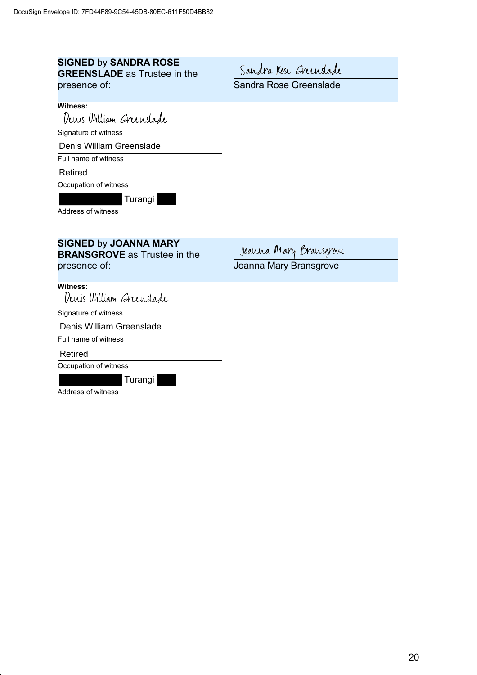#### **SIGNED** by **SANDRA ROSE GREENSLADE** as Trustee in the presence of:

Sandra Rose Grenslade

Sandra Rose Greenslade

#### **Witness:**

 $\overline{a}$ 

J

Denis William Greenslade

Signature of witness

Denis William Greenslade

Full name of witness

Retired

Occupation of witness

Turangi

Address of witness

# **SIGNED** by **JOANNA MARY BRANSGROVE** as Trustee in the

presence of:

Joanna Mary Bransgrove

Joanna Mary Bransgrove

Witness:<br>Denis William *Greenslade* 

 $\overline{a}$ Signature of witness

 $\overline{a}$ Denis William Greenslade

Full name of witness

Retired

ļ

Occupation of witness

Turangi

Address of witness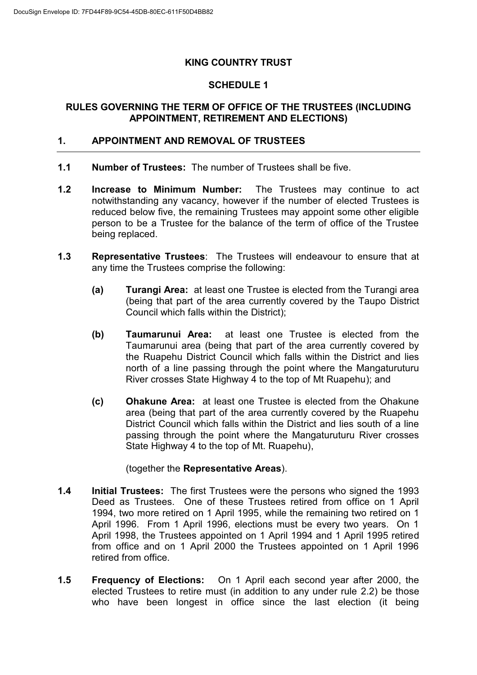#### **KING COUNTRY TRUST**

#### **SCHEDULE 1**

#### **RULES GOVERNING THE TERM OF OFFICE OF THE TRUSTEES (INCLUDING APPOINTMENT, RETIREMENT AND ELECTIONS)**

#### **1. APPOINTMENT AND REMOVAL OF TRUSTEES**

- **1.1 Number of Trustees:** The number of Trustees shall be five.
- **1.2 Increase to Minimum Number:** The Trustees may continue to act notwithstanding any vacancy, however if the number of elected Trustees is reduced below five, the remaining Trustees may appoint some other eligible person to be a Trustee for the balance of the term of office of the Trustee being replaced.
- **1.3 Representative Trustees**: The Trustees will endeavour to ensure that at any time the Trustees comprise the following:
	- **(a) Turangi Area:** at least one Trustee is elected from the Turangi area (being that part of the area currently covered by the Taupo District Council which falls within the District);
	- **(b) Taumarunui Area:** at least one Trustee is elected from the Taumarunui area (being that part of the area currently covered by the Ruapehu District Council which falls within the District and lies north of a line passing through the point where the Mangaturuturu River crosses State Highway 4 to the top of Mt Ruapehu); and
	- **(c) Ohakune Area:** at least one Trustee is elected from the Ohakune area (being that part of the area currently covered by the Ruapehu District Council which falls within the District and lies south of a line passing through the point where the Mangaturuturu River crosses State Highway 4 to the top of Mt. Ruapehu),

#### (together the **Representative Areas**).

- **1.4 Initial Trustees:** The first Trustees were the persons who signed the 1993 Deed as Trustees. One of these Trustees retired from office on 1 April 1994, two more retired on 1 April 1995, while the remaining two retired on 1 April 1996. From 1 April 1996, elections must be every two years. On 1 April 1998, the Trustees appointed on 1 April 1994 and 1 April 1995 retired from office and on 1 April 2000 the Trustees appointed on 1 April 1996 retired from office.
- **1.5 Frequency of Elections:** On 1 April each second year after 2000, the elected Trustees to retire must (in addition to any under rule 2.2) be those who have been longest in office since the last election (it being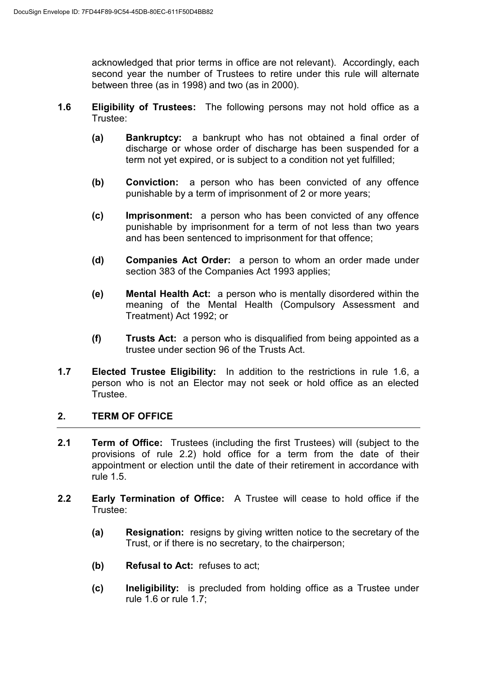acknowledged that prior terms in office are not relevant). Accordingly, each second year the number of Trustees to retire under this rule will alternate between three (as in 1998) and two (as in 2000).

- **1.6 Eligibility of Trustees:** The following persons may not hold office as a Trustee:
	- **(a) Bankruptcy:** a bankrupt who has not obtained a final order of discharge or whose order of discharge has been suspended for a term not yet expired, or is subject to a condition not yet fulfilled;
	- **(b) Conviction:** a person who has been convicted of any offence punishable by a term of imprisonment of 2 or more years;
	- **(c) Imprisonment:** a person who has been convicted of any offence punishable by imprisonment for a term of not less than two years and has been sentenced to imprisonment for that offence;
	- **(d) Companies Act Order:** a person to whom an order made under section 383 of the Companies Act 1993 applies;
	- **(e) Mental Health Act:** a person who is mentally disordered within the meaning of the Mental Health (Compulsory Assessment and Treatment) Act 1992; or
	- **(f) Trusts Act:** a person who is disqualified from being appointed as a trustee under section 96 of the Trusts Act.
- **1.7 Elected Trustee Eligibility:** In addition to the restrictions in rule 1.6, a person who is not an Elector may not seek or hold office as an elected Trustee.

#### **2. TERM OF OFFICE**

- **2.1 Term of Office:** Trustees (including the first Trustees) will (subject to the provisions of rule 2.2) hold office for a term from the date of their appointment or election until the date of their retirement in accordance with rule 1.5.
- **2.2 Early Termination of Office:** A Trustee will cease to hold office if the Trustee:
	- **(a) Resignation:** resigns by giving written notice to the secretary of the Trust, or if there is no secretary, to the chairperson;
	- **(b) Refusal to Act:** refuses to act;
	- **(c) Ineligibility:** is precluded from holding office as a Trustee under rule 1.6 or rule 1.7;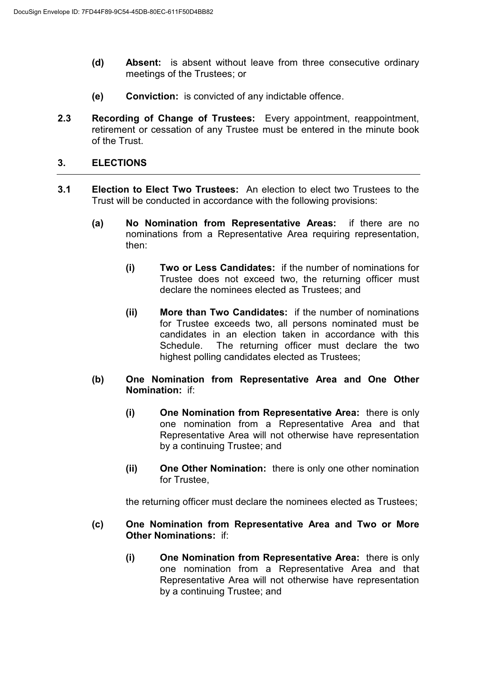- **(d) Absent:** is absent without leave from three consecutive ordinary meetings of the Trustees; or
- **(e) Conviction:** is convicted of any indictable offence.
- **2.3 Recording of Change of Trustees:** Every appointment, reappointment, retirement or cessation of any Trustee must be entered in the minute book of the Trust.

#### **3. ELECTIONS**

- **3.1 Election to Elect Two Trustees:** An election to elect two Trustees to the Trust will be conducted in accordance with the following provisions:
	- **(a) No Nomination from Representative Areas:** if there are no nominations from a Representative Area requiring representation, then:
		- **(i) Two or Less Candidates:** if the number of nominations for Trustee does not exceed two, the returning officer must declare the nominees elected as Trustees; and
		- **(ii) More than Two Candidates:** if the number of nominations for Trustee exceeds two, all persons nominated must be candidates in an election taken in accordance with this Schedule. The returning officer must declare the two highest polling candidates elected as Trustees;
	- **(b) One Nomination from Representative Area and One Other Nomination:** if:
		- **(i) One Nomination from Representative Area:** there is only one nomination from a Representative Area and that Representative Area will not otherwise have representation by a continuing Trustee; and
		- **(ii) One Other Nomination:** there is only one other nomination for Trustee,

the returning officer must declare the nominees elected as Trustees;

- **(c) One Nomination from Representative Area and Two or More Other Nominations:** if:
	- **(i) One Nomination from Representative Area:** there is only one nomination from a Representative Area and that Representative Area will not otherwise have representation by a continuing Trustee; and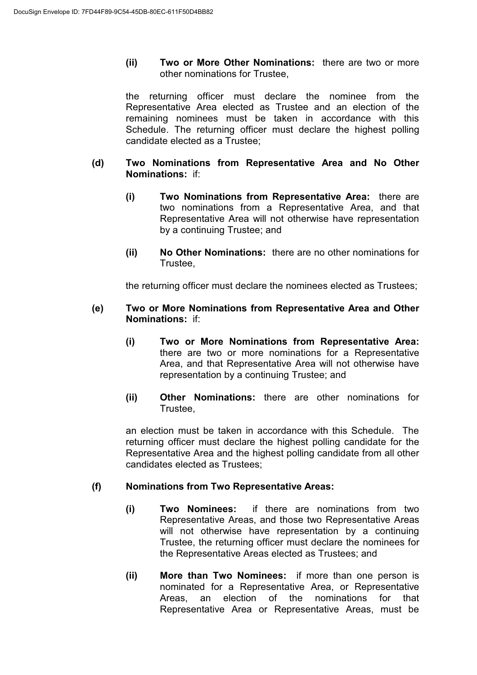**(ii) Two or More Other Nominations:** there are two or more other nominations for Trustee,

the returning officer must declare the nominee from the Representative Area elected as Trustee and an election of the remaining nominees must be taken in accordance with this Schedule. The returning officer must declare the highest polling candidate elected as a Trustee;

- **(d) Two Nominations from Representative Area and No Other Nominations:** if:
	- **(i) Two Nominations from Representative Area:** there are two nominations from a Representative Area, and that Representative Area will not otherwise have representation by a continuing Trustee; and
	- **(ii) No Other Nominations:** there are no other nominations for Trustee,

the returning officer must declare the nominees elected as Trustees;

- **(e) Two or More Nominations from Representative Area and Other Nominations:** if:
	- **(i) Two or More Nominations from Representative Area:** there are two or more nominations for a Representative Area, and that Representative Area will not otherwise have representation by a continuing Trustee; and
	- **(ii) Other Nominations:** there are other nominations for Trustee,

an election must be taken in accordance with this Schedule. The returning officer must declare the highest polling candidate for the Representative Area and the highest polling candidate from all other candidates elected as Trustees;

#### **(f) Nominations from Two Representative Areas:**

- **(i) Two Nominees:** if there are nominations from two Representative Areas, and those two Representative Areas will not otherwise have representation by a continuing Trustee, the returning officer must declare the nominees for the Representative Areas elected as Trustees; and
- **(ii) More than Two Nominees:** if more than one person is nominated for a Representative Area, or Representative Areas, an election of the nominations for that Representative Area or Representative Areas, must be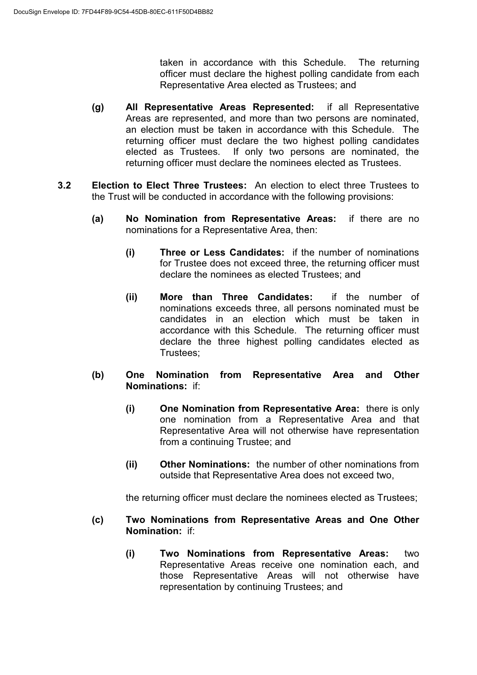taken in accordance with this Schedule. The returning officer must declare the highest polling candidate from each Representative Area elected as Trustees; and

- **(g) All Representative Areas Represented:** if all Representative Areas are represented, and more than two persons are nominated, an election must be taken in accordance with this Schedule. The returning officer must declare the two highest polling candidates elected as Trustees. If only two persons are nominated, the returning officer must declare the nominees elected as Trustees.
- **3.2 Election to Elect Three Trustees:** An election to elect three Trustees to the Trust will be conducted in accordance with the following provisions:
	- **(a) No Nomination from Representative Areas:** if there are no nominations for a Representative Area, then:
		- **(i) Three or Less Candidates:** if the number of nominations for Trustee does not exceed three, the returning officer must declare the nominees as elected Trustees; and
		- **(ii) More than Three Candidates:** if the number of nominations exceeds three, all persons nominated must be candidates in an election which must be taken in accordance with this Schedule. The returning officer must declare the three highest polling candidates elected as Trustees;
	- **(b) One Nomination from Representative Area and Other Nominations:** if:
		- **(i) One Nomination from Representative Area:** there is only one nomination from a Representative Area and that Representative Area will not otherwise have representation from a continuing Trustee; and
		- **(ii) Other Nominations:** the number of other nominations from outside that Representative Area does not exceed two,

the returning officer must declare the nominees elected as Trustees;

- **(c) Two Nominations from Representative Areas and One Other Nomination:** if:
	- **(i) Two Nominations from Representative Areas:** two Representative Areas receive one nomination each, and those Representative Areas will not otherwise have representation by continuing Trustees; and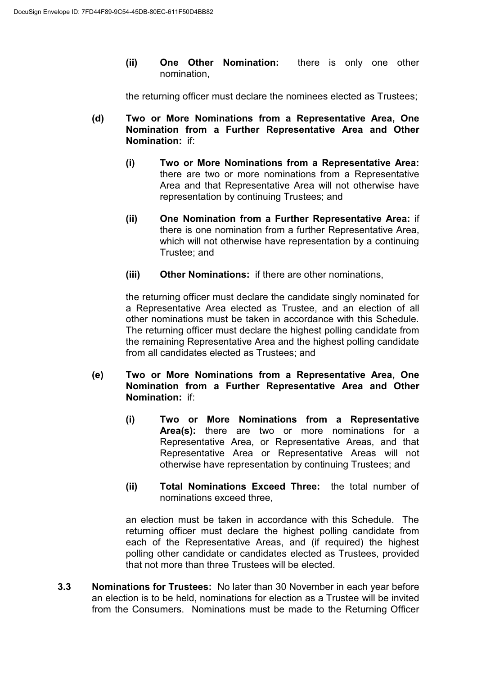**(ii) One Other Nomination:** there is only one other nomination,

the returning officer must declare the nominees elected as Trustees;

- **(d) Two or More Nominations from a Representative Area, One Nomination from a Further Representative Area and Other Nomination:** if:
	- **(i) Two or More Nominations from a Representative Area:** there are two or more nominations from a Representative Area and that Representative Area will not otherwise have representation by continuing Trustees; and
	- **(ii) One Nomination from a Further Representative Area:** if there is one nomination from a further Representative Area, which will not otherwise have representation by a continuing Trustee; and
	- **(iii) Other Nominations:** if there are other nominations,

the returning officer must declare the candidate singly nominated for a Representative Area elected as Trustee, and an election of all other nominations must be taken in accordance with this Schedule. The returning officer must declare the highest polling candidate from the remaining Representative Area and the highest polling candidate from all candidates elected as Trustees; and

- **(e) Two or More Nominations from a Representative Area, One Nomination from a Further Representative Area and Other Nomination:** if:
	- **(i) Two or More Nominations from a Representative Area(s):** there are two or more nominations for a Representative Area, or Representative Areas, and that Representative Area or Representative Areas will not otherwise have representation by continuing Trustees; and
	- **(ii) Total Nominations Exceed Three:** the total number of nominations exceed three,

an election must be taken in accordance with this Schedule. The returning officer must declare the highest polling candidate from each of the Representative Areas, and (if required) the highest polling other candidate or candidates elected as Trustees, provided that not more than three Trustees will be elected.

**3.3 Nominations for Trustees:** No later than 30 November in each year before an election is to be held, nominations for election as a Trustee will be invited from the Consumers. Nominations must be made to the Returning Officer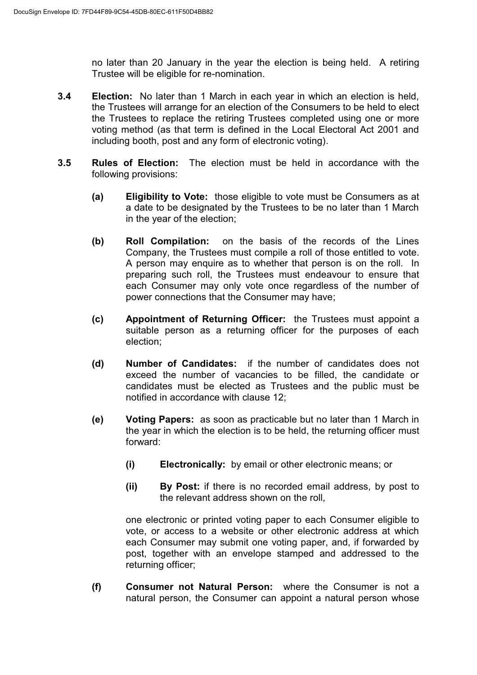no later than 20 January in the year the election is being held. A retiring Trustee will be eligible for re-nomination.

- **3.4 Election:** No later than 1 March in each year in which an election is held, the Trustees will arrange for an election of the Consumers to be held to elect the Trustees to replace the retiring Trustees completed using one or more voting method (as that term is defined in the Local Electoral Act 2001 and including booth, post and any form of electronic voting).
- **3.5 Rules of Election:** The election must be held in accordance with the following provisions:
	- **(a) Eligibility to Vote:** those eligible to vote must be Consumers as at a date to be designated by the Trustees to be no later than 1 March in the year of the election;
	- **(b) Roll Compilation:** on the basis of the records of the Lines Company, the Trustees must compile a roll of those entitled to vote. A person may enquire as to whether that person is on the roll. In preparing such roll, the Trustees must endeavour to ensure that each Consumer may only vote once regardless of the number of power connections that the Consumer may have;
	- **(c) Appointment of Returning Officer:** the Trustees must appoint a suitable person as a returning officer for the purposes of each election;
	- **(d) Number of Candidates:** if the number of candidates does not exceed the number of vacancies to be filled, the candidate or candidates must be elected as Trustees and the public must be notified in accordance with clause 12;
	- **(e) Voting Papers:** as soon as practicable but no later than 1 March in the year in which the election is to be held, the returning officer must forward:
		- **(i) Electronically:** by email or other electronic means; or
		- **(ii) By Post:** if there is no recorded email address, by post to the relevant address shown on the roll,

one electronic or printed voting paper to each Consumer eligible to vote, or access to a website or other electronic address at which each Consumer may submit one voting paper, and, if forwarded by post, together with an envelope stamped and addressed to the returning officer;

**(f) Consumer not Natural Person:** where the Consumer is not a natural person, the Consumer can appoint a natural person whose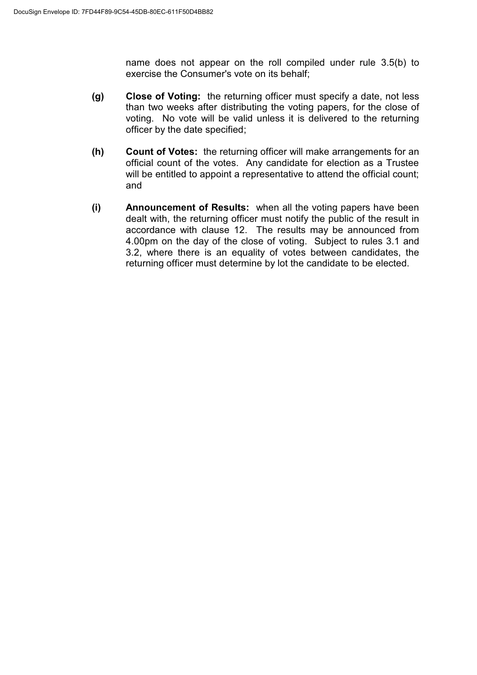name does not appear on the roll compiled under rule 3.5(b) to exercise the Consumer's vote on its behalf;

- **(g) Close of Voting:** the returning officer must specify a date, not less than two weeks after distributing the voting papers, for the close of voting. No vote will be valid unless it is delivered to the returning officer by the date specified;
- **(h) Count of Votes:** the returning officer will make arrangements for an official count of the votes. Any candidate for election as a Trustee will be entitled to appoint a representative to attend the official count; and
- **(i) Announcement of Results:** when all the voting papers have been dealt with, the returning officer must notify the public of the result in accordance with clause 12. The results may be announced from 4.00pm on the day of the close of voting. Subject to rules 3.1 and 3.2, where there is an equality of votes between candidates, the returning officer must determine by lot the candidate to be elected.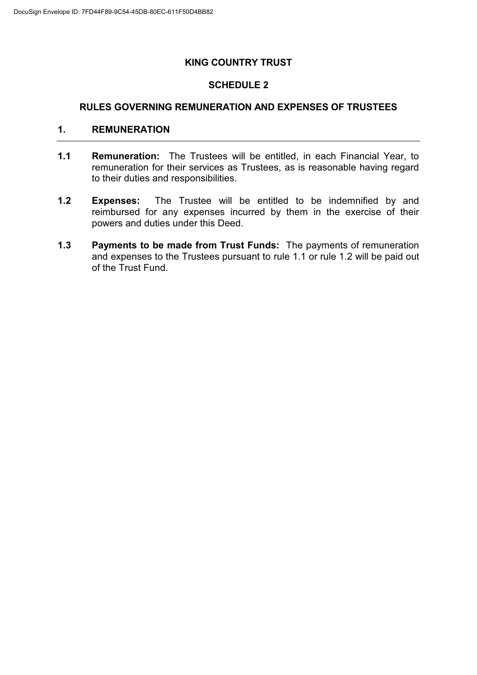#### **KING COUNTRY TRUST**

#### **SCHEDULE 2**

#### **RULES GOVERNING REMUNERATION AND EXPENSES OF TRUSTEES**

#### **1. REMUNERATION**

- **1.1 Remuneration:** The Trustees will be entitled, in each Financial Year, to remuneration for their services as Trustees, as is reasonable having regard to their duties and responsibilities.
- **1.2 Expenses:** The Trustee will be entitled to be indemnified by and reimbursed for any expenses incurred by them in the exercise of their powers and duties under this Deed.
- **1.3 Payments to be made from Trust Funds:** The payments of remuneration and expenses to the Trustees pursuant to rule 1.1 or rule 1.2 will be paid out of the Trust Fund.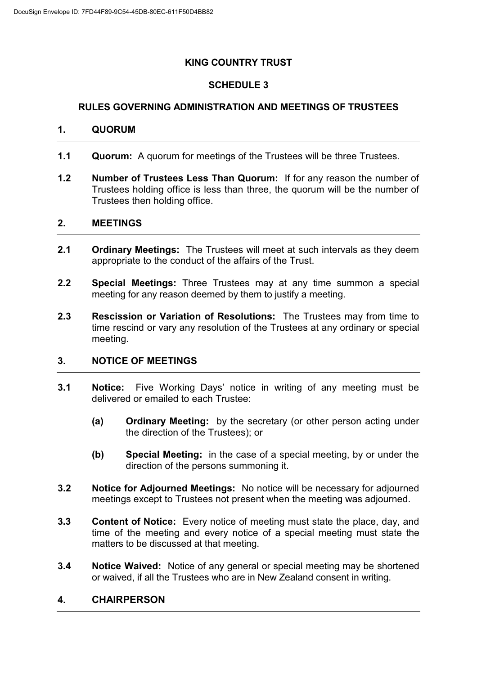# **KING COUNTRY TRUST**

# **SCHEDULE 3**

# **RULES GOVERNING ADMINISTRATION AND MEETINGS OF TRUSTEES**

#### **1. QUORUM**

- **1.1 Quorum:** A quorum for meetings of the Trustees will be three Trustees.
- **1.2 Number of Trustees Less Than Quorum:** If for any reason the number of Trustees holding office is less than three, the quorum will be the number of Trustees then holding office.

#### **2. MEETINGS**

- **2.1 Ordinary Meetings:** The Trustees will meet at such intervals as they deem appropriate to the conduct of the affairs of the Trust.
- **2.2 Special Meetings:** Three Trustees may at any time summon a special meeting for any reason deemed by them to justify a meeting.
- **2.3 Rescission or Variation of Resolutions:** The Trustees may from time to time rescind or vary any resolution of the Trustees at any ordinary or special meeting.

#### **3. NOTICE OF MEETINGS**

- **3.1 Notice:** Five Working Days' notice in writing of any meeting must be delivered or emailed to each Trustee:
	- **(a) Ordinary Meeting:** by the secretary (or other person acting under the direction of the Trustees); or
	- **(b) Special Meeting:** in the case of a special meeting, by or under the direction of the persons summoning it.
- **3.2 Notice for Adjourned Meetings:** No notice will be necessary for adjourned meetings except to Trustees not present when the meeting was adjourned.
- **3.3 Content of Notice:** Every notice of meeting must state the place, day, and time of the meeting and every notice of a special meeting must state the matters to be discussed at that meeting.
- **3.4 Notice Waived:** Notice of any general or special meeting may be shortened or waived, if all the Trustees who are in New Zealand consent in writing.

#### **4. CHAIRPERSON**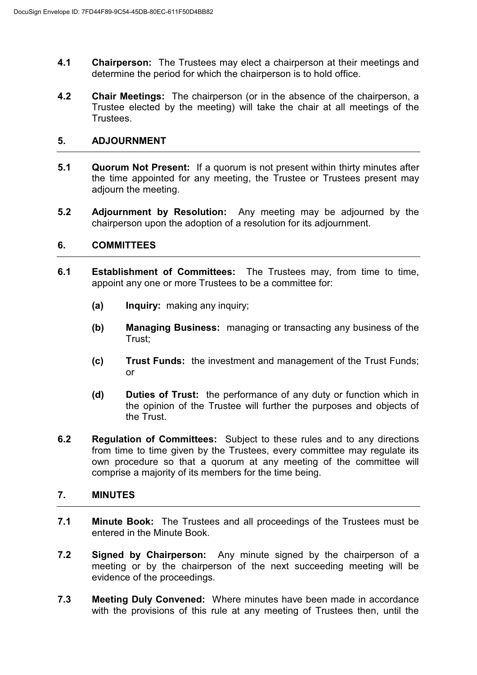- **4.1 Chairperson:** The Trustees may elect a chairperson at their meetings and determine the period for which the chairperson is to hold office.
- **4.2 Chair Meetings:** The chairperson (or in the absence of the chairperson, a Trustee elected by the meeting) will take the chair at all meetings of the Trustees.

#### **5. ADJOURNMENT**

- **5.1 Quorum Not Present:** If a quorum is not present within thirty minutes after the time appointed for any meeting, the Trustee or Trustees present may adiourn the meeting.
- **5.2 Adjournment by Resolution:** Any meeting may be adjourned by the chairperson upon the adoption of a resolution for its adjournment.

#### **6. COMMITTEES**

- **6.1 Establishment of Committees:** The Trustees may, from time to time, appoint any one or more Trustees to be a committee for:
	- **(a) Inquiry:** making any inquiry;
	- **(b) Managing Business:** managing or transacting any business of the Trust;
	- **(c) Trust Funds:** the investment and management of the Trust Funds; or
	- **(d) Duties of Trust:** the performance of any duty or function which in the opinion of the Trustee will further the purposes and objects of the Trust.
- **6.2 Regulation of Committees:** Subject to these rules and to any directions from time to time given by the Trustees, every committee may regulate its own procedure so that a quorum at any meeting of the committee will comprise a majority of its members for the time being.

#### **7. MINUTES**

- **7.1 Minute Book:** The Trustees and all proceedings of the Trustees must be entered in the Minute Book.
- **7.2 Signed by Chairperson:** Any minute signed by the chairperson of a meeting or by the chairperson of the next succeeding meeting will be evidence of the proceedings.
- **7.3 Meeting Duly Convened:** Where minutes have been made in accordance with the provisions of this rule at any meeting of Trustees then, until the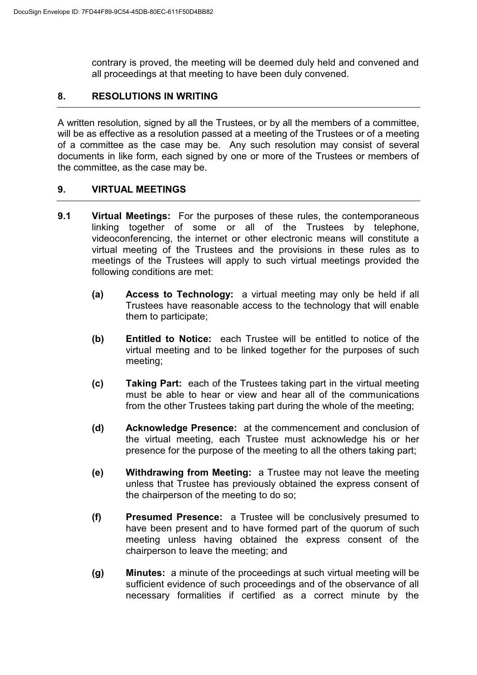contrary is proved, the meeting will be deemed duly held and convened and all proceedings at that meeting to have been duly convened.

# **8. RESOLUTIONS IN WRITING**

A written resolution, signed by all the Trustees, or by all the members of a committee, will be as effective as a resolution passed at a meeting of the Trustees or of a meeting of a committee as the case may be. Any such resolution may consist of several documents in like form, each signed by one or more of the Trustees or members of the committee, as the case may be.

#### **9. VIRTUAL MEETINGS**

- **9.1 Virtual Meetings:** For the purposes of these rules, the contemporaneous linking together of some or all of the Trustees by telephone, videoconferencing, the internet or other electronic means will constitute a virtual meeting of the Trustees and the provisions in these rules as to meetings of the Trustees will apply to such virtual meetings provided the following conditions are met:
	- **(a) Access to Technology:** a virtual meeting may only be held if all Trustees have reasonable access to the technology that will enable them to participate;
	- **(b) Entitled to Notice:** each Trustee will be entitled to notice of the virtual meeting and to be linked together for the purposes of such meeting;
	- **(c) Taking Part:** each of the Trustees taking part in the virtual meeting must be able to hear or view and hear all of the communications from the other Trustees taking part during the whole of the meeting;
	- **(d) Acknowledge Presence:** at the commencement and conclusion of the virtual meeting, each Trustee must acknowledge his or her presence for the purpose of the meeting to all the others taking part;
	- **(e) Withdrawing from Meeting:** a Trustee may not leave the meeting unless that Trustee has previously obtained the express consent of the chairperson of the meeting to do so;
	- **(f) Presumed Presence:** a Trustee will be conclusively presumed to have been present and to have formed part of the quorum of such meeting unless having obtained the express consent of the chairperson to leave the meeting; and
	- **(g) Minutes:** a minute of the proceedings at such virtual meeting will be sufficient evidence of such proceedings and of the observance of all necessary formalities if certified as a correct minute by the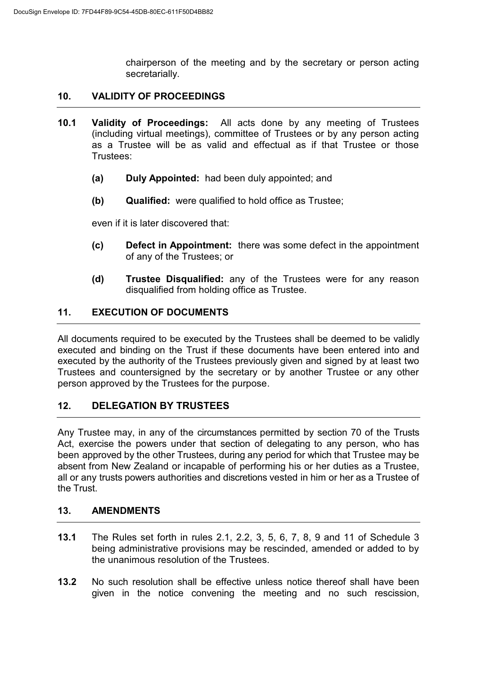chairperson of the meeting and by the secretary or person acting secretarially.

#### **10. VALIDITY OF PROCEEDINGS**

- **10.1 Validity of Proceedings:** All acts done by any meeting of Trustees (including virtual meetings), committee of Trustees or by any person acting as a Trustee will be as valid and effectual as if that Trustee or those Trustees:
	- **(a) Duly Appointed:** had been duly appointed; and
	- **(b) Qualified:** were qualified to hold office as Trustee;

even if it is later discovered that:

- **(c) Defect in Appointment:** there was some defect in the appointment of any of the Trustees; or
- **(d) Trustee Disqualified:** any of the Trustees were for any reason disqualified from holding office as Trustee.

#### **11. EXECUTION OF DOCUMENTS**

All documents required to be executed by the Trustees shall be deemed to be validly executed and binding on the Trust if these documents have been entered into and executed by the authority of the Trustees previously given and signed by at least two Trustees and countersigned by the secretary or by another Trustee or any other person approved by the Trustees for the purpose.

# **12. DELEGATION BY TRUSTEES**

Any Trustee may, in any of the circumstances permitted by section 70 of the Trusts Act, exercise the powers under that section of delegating to any person, who has been approved by the other Trustees, during any period for which that Trustee may be absent from New Zealand or incapable of performing his or her duties as a Trustee, all or any trusts powers authorities and discretions vested in him or her as a Trustee of the Trust.

#### **13. AMENDMENTS**

- **13.1** The Rules set forth in rules 2.1, 2.2, 3, 5, 6, 7, 8, 9 and 11 of Schedule 3 being administrative provisions may be rescinded, amended or added to by the unanimous resolution of the Trustees.
- **13.2** No such resolution shall be effective unless notice thereof shall have been given in the notice convening the meeting and no such rescission,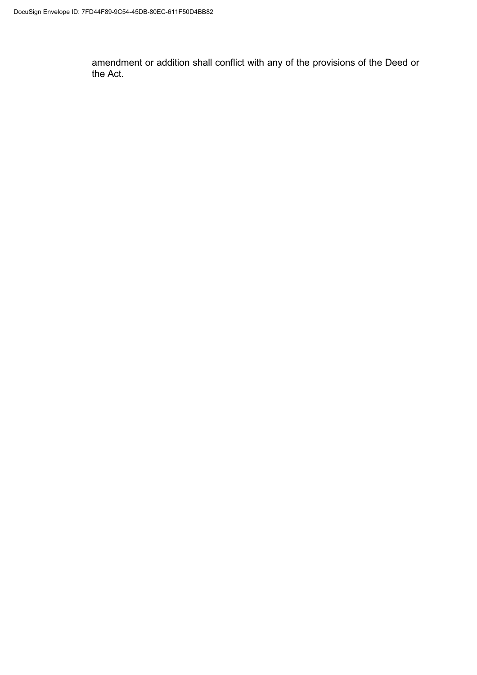amendment or addition shall conflict with any of the provisions of the Deed or the Act.